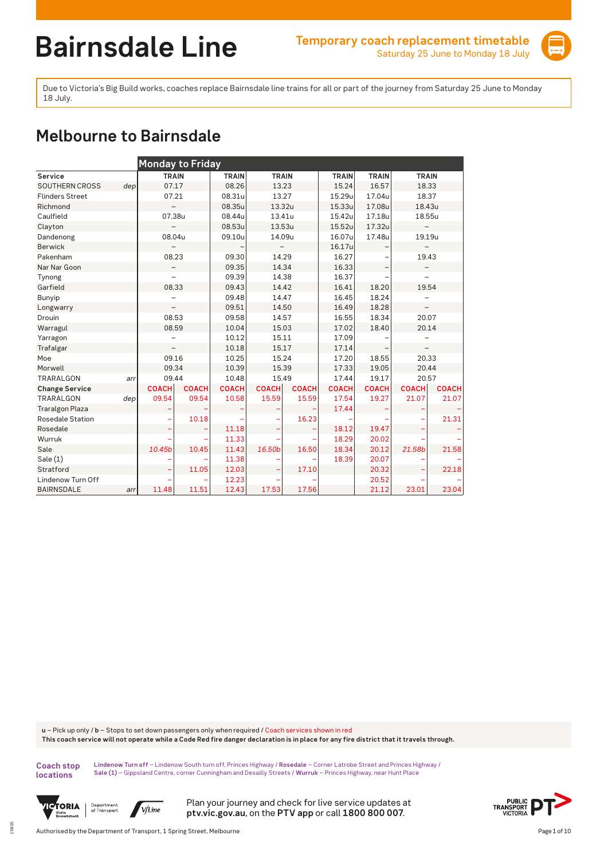

Due to Victoria's Big Build works, coaches replace Bairnsdale line trains for all or part of the journey from Saturday 25 June to Monday 18 July.

## **Melbourne to Bairnsdale**

|                        |     | <b>Monday to Friday</b>  |              |              |              |              |              |              |                          |              |  |  |
|------------------------|-----|--------------------------|--------------|--------------|--------------|--------------|--------------|--------------|--------------------------|--------------|--|--|
| Service                |     | <b>TRAIN</b>             |              | <b>TRAIN</b> | <b>TRAIN</b> |              | <b>TRAIN</b> | <b>TRAIN</b> | <b>TRAIN</b>             |              |  |  |
| SOUTHERN CROSS         | dep | 07.17                    |              | 08.26        | 13.23        |              | 15.24        | 16.57        | 18.33                    |              |  |  |
| <b>Flinders Street</b> |     | 07.21                    |              | 08.31u       | 13.27        |              | 15.29u       | 17.04u       | 18.37                    |              |  |  |
| Richmond               |     |                          |              | 08.35u       | 13.32u       |              | 15.33u       | 17.08u       | 18.43u                   |              |  |  |
| Caulfield              |     | 07.38u                   |              | 08.44u       | 13.41u       |              | 15.42u       | 17.18u       | 18.55u                   |              |  |  |
| Clayton                |     |                          |              | 08.53u       | 13.53u       |              | 15.52u       | 17.32u       |                          |              |  |  |
| Dandenong              |     | 08.04u                   |              | 09.10u       | 14.09u       |              | 16.07u       | 17.48u       | 19.19u                   |              |  |  |
| Berwick                |     |                          |              |              |              |              | 16.17u       |              |                          |              |  |  |
| Pakenham               |     | 08.23                    |              | 09.30        | 14.29        |              | 16.27        |              | 19.43                    |              |  |  |
| Nar Nar Goon           |     | $\overline{\phantom{0}}$ |              | 09.35        | 14.34        |              | 16.33        |              | -                        |              |  |  |
| Tynong                 |     | $\overline{\phantom{0}}$ |              | 09.39        | 14.38        |              | 16.37        |              | $\overline{\phantom{0}}$ |              |  |  |
| Garfield               |     | 08.33                    |              | 09.43        | 14.42        |              | 16.41        | 18.20        | 19.54                    |              |  |  |
| Bunyip                 |     |                          |              | 09.48        | 14.47        |              | 16.45        | 18.24        |                          |              |  |  |
| Longwarry              |     |                          |              | 09.51        | 14.50        |              | 16.49        | 18.28        |                          |              |  |  |
| Drouin                 |     | 08.53                    |              | 09.58        | 14.57        |              | 16.55        | 18.34        | 20.07                    |              |  |  |
| Warragul               |     | 08.59                    |              | 10.04        | 15.03        |              | 17.02        | 18.40        | 20.14                    |              |  |  |
| Yarragon               |     |                          |              | 10.12        | 15.11        |              | 17.09        |              |                          |              |  |  |
| Trafalgar              |     |                          |              | 10.18        | 15.17        |              | 17.14        |              |                          |              |  |  |
| Moe                    |     | 09.16                    |              | 10.25        | 15.24        |              | 17.20        | 18.55        | 20.33                    |              |  |  |
| Morwell                |     | 09.34                    |              | 10.39        | 15.39        |              | 17.33        | 19.05        | 20.44                    |              |  |  |
| TRARALGON              | arr | 09.44                    |              | 10.48        | 15.49        |              | 17.44        | 19.17        | 20.57                    |              |  |  |
| <b>Change Service</b>  |     | <b>COACH</b>             | <b>COACH</b> | <b>COACH</b> | <b>COACH</b> | <b>COACH</b> | <b>COACH</b> | <b>COACH</b> | <b>COACH</b>             | <b>COACH</b> |  |  |
| TRARALGON              | dep | 09.54                    | 09.54        | 10.58        | 15.59        | 15.59        | 17.54        | 19.27        | 21.07                    | 21.07        |  |  |
| <b>Traralgon Plaza</b> |     |                          |              |              |              |              | 17.44        |              |                          |              |  |  |
| Rosedale Station       |     |                          | 10.18        |              |              | 16.23        |              |              |                          | 21.31        |  |  |
| Rosedale               |     |                          |              | 11.18        |              |              | 18.12        | 19.47        |                          |              |  |  |
| Wurruk                 |     |                          |              | 11.33        |              |              | 18.29        | 20.02        |                          |              |  |  |
| Sale                   |     | 10.45b                   | 10.45        | 11.43        | 16.50b       | 16.50        | 18.34        | 20.12        | 21.58b                   | 21.58        |  |  |
| Sale(1)                |     |                          |              | 11.38        |              |              | 18.39        | 20.07        |                          |              |  |  |
| Stratford              |     | ÷                        | 11.05        | 12.03        |              | 17.10        |              | 20.32        | ÷                        | 22.18        |  |  |
| Lindenow Turn Off      |     |                          |              | 12.23        |              |              |              | 20.52        |                          |              |  |  |
| <b>BAIRNSDALE</b>      | arr | 11.48                    | 11.51        | 12.43        | 17.53        | 17.56        |              | 21.12        | 23.01                    | 23.04        |  |  |

**u** – Pick up only / **b** – Stops to set down passengers only when required / Coach services shown in red **This coach service will not operate while a Code Red fire danger declaration is in place for any fire district that it travels through.**

**Coach stop locations** 

15825

**Lindenow Turn off** – Lindenow South turn off, Princes Highway / **Rosedale** – Corner Latrobe Street and Princes Highway / **Sale (1)** – Gippsland Centre, corner Cunningham and Desailly Streets / **Wurruk** – Princes Highway, near Hunt Place





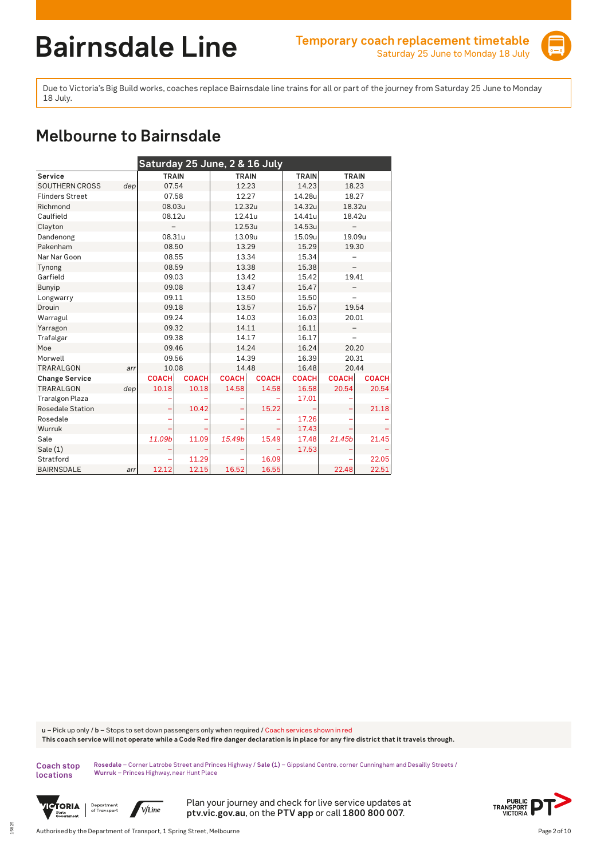

Due to Victoria's Big Build works, coaches replace Bairnsdale line trains for all or part of the journey from Saturday 25 June to Monday 18 July.

## **Melbourne to Bairnsdale**

| Saturday 25 June, 2 & 16 July |     |              |              |              |              |              |              |              |  |  |  |
|-------------------------------|-----|--------------|--------------|--------------|--------------|--------------|--------------|--------------|--|--|--|
| Service                       |     | <b>TRAIN</b> |              | <b>TRAIN</b> |              | <b>TRAIN</b> | <b>TRAIN</b> |              |  |  |  |
| <b>SOUTHERN CROSS</b>         | dep | 07.54        |              | 12.23        |              | 14.23        | 18.23        |              |  |  |  |
| <b>Flinders Street</b>        |     | 07.58        |              | 12.27        |              | 14.28u       | 18.27        |              |  |  |  |
| Richmond                      |     | 08.03u       |              | 12.32u       |              | 14.32u       | 18.32u       |              |  |  |  |
| Caulfield                     |     | 08.12u       |              | 12.41u       |              | 14.41u       | 18.42u       |              |  |  |  |
| Clayton                       |     |              |              | 12.53u       |              | 14.53u       |              |              |  |  |  |
| Dandenong                     |     | 08.31u       |              | 13.09u       |              | 15.09u       | 19.09u       |              |  |  |  |
| Pakenham                      |     | 08.50        |              | 13.29        |              | 15.29        | 19.30        |              |  |  |  |
| Nar Nar Goon                  |     | 08.55        |              | 13.34        |              | 15.34        |              |              |  |  |  |
| Tynong                        |     | 08.59        |              | 13.38        |              | 15.38        |              |              |  |  |  |
| Garfield                      |     | 09.03        |              | 13.42        |              | 15.42        | 19.41        |              |  |  |  |
| Bunyip                        |     | 09.08        |              | 13.47        |              | 15.47        |              |              |  |  |  |
| Longwarry                     |     | 09.11        |              | 13.50        |              | 15.50        |              |              |  |  |  |
| Drouin                        |     | 09.18        |              | 13.57        |              | 15.57        | 19.54        |              |  |  |  |
| Warragul                      |     | 09.24        |              | 14.03        |              | 16.03        | 20.01        |              |  |  |  |
| Yarragon                      |     | 09.32        |              | 14.11        |              | 16.11        |              |              |  |  |  |
| Trafalgar                     |     | 09.38        |              | 14.17        |              | 16.17        |              |              |  |  |  |
| Moe                           |     | 09.46        |              | 14.24        |              | 16.24        |              | 20.20        |  |  |  |
| Morwell                       |     | 09.56        |              | 14.39        |              | 16.39        | 20.31        |              |  |  |  |
| <b>TRARALGON</b>              | arr | 10.08        |              | 14.48        |              | 16.48        | 20.44        |              |  |  |  |
| <b>Change Service</b>         |     | <b>COACH</b> | <b>COACH</b> | <b>COACH</b> | <b>COACH</b> | <b>COACH</b> | <b>COACH</b> | <b>COACH</b> |  |  |  |
| <b>TRARALGON</b>              | dep | 10.18        | 10.18        | 14.58        | 14.58        | 16.58        | 20.54        | 20.54        |  |  |  |
| <b>Traralgon Plaza</b>        |     |              |              |              |              | 17.01        |              |              |  |  |  |
| Rosedale Station              |     |              | 10.42        |              | 15.22        |              |              | 21.18        |  |  |  |
| Rosedale                      |     |              |              |              |              | 17.26        |              |              |  |  |  |
| Wurruk                        |     |              |              |              |              | 17.43        |              |              |  |  |  |
| Sale                          |     | 11.09b       | 11.09        | 15.49b       | 15.49        | 17.48        | 21.45b       | 21.45        |  |  |  |
| Sale(1)                       |     |              |              |              |              | 17.53        |              |              |  |  |  |
| Stratford                     |     |              | 11.29        |              | 16.09        |              |              | 22.05        |  |  |  |
| <b>BAIRNSDALE</b>             | arr | 12.12        | 12.15        | 16.52        | 16.55        |              | 22.48        | 22.51        |  |  |  |

**u** – Pick up only / **b** – Stops to set down passengers only when required / Coach services shown in red **This coach service will not operate while a Code Red fire danger declaration is in place for any fire district that it travels through.**

**Coach stop locations** 

15825

**Rosedale** – Corner Latrobe Street and Princes Highway / **Sale (1)** – Gippsland Centre, corner Cunningham and Desailly Streets / **Wurruk** – Princes Highway, near Hunt Place



Department<br>of Transport V/Line

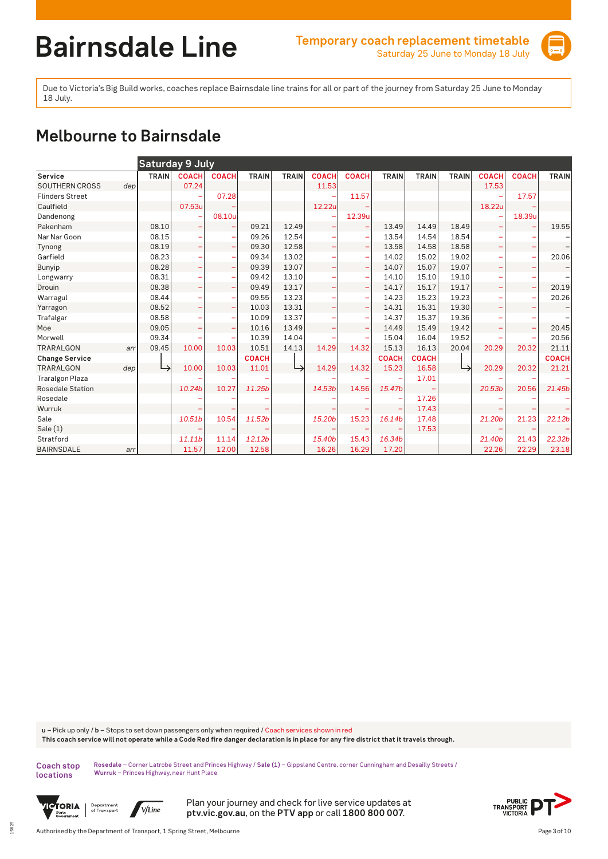

Due to Victoria's Big Build works, coaches replace Bairnsdale line trains for all or part of the journey from Saturday 25 June to Monday 18 July.

# **Melbourne to Bairnsdale**

|                         |     |              | Saturday 9 July                |              |              |              |              |                          |              |              |              |                                |                          |              |
|-------------------------|-----|--------------|--------------------------------|--------------|--------------|--------------|--------------|--------------------------|--------------|--------------|--------------|--------------------------------|--------------------------|--------------|
| Service                 |     | <b>TRAIN</b> | <b>COACH</b>                   | <b>COACH</b> | <b>TRAIN</b> | <b>TRAIN</b> | <b>COACH</b> | <b>COACH</b>             | <b>TRAIN</b> | <b>TRAIN</b> | <b>TRAIN</b> | <b>COACH</b>                   | <b>COACH</b>             | <b>TRAIN</b> |
| SOUTHERN CROSS          | dep |              | 07.24                          |              |              |              | 11.53        |                          |              |              |              | 17.53                          |                          |              |
| <b>Flinders Street</b>  |     |              |                                | 07.28        |              |              |              | 11.57                    |              |              |              |                                | 17.57                    |              |
| Caulfield               |     |              | 07.53u                         |              |              |              | 12.22u       |                          |              |              |              | 18.22u                         |                          |              |
| Dandenong               |     |              |                                | 08.10u       |              |              |              | 12.39u                   |              |              |              |                                | 18.39u                   |              |
| Pakenham                |     | 08.10        |                                |              | 09.21        | 12.49        |              | -                        | 13.49        | 14.49        | 18.49        |                                |                          | 19.55        |
| Nar Nar Goon            |     | 08.15        |                                |              | 09.26        | 12.54        |              |                          | 13.54        | 14.54        | 18.54        |                                |                          |              |
| Tynong                  |     | 08.19        | -                              | ÷            | 09.30        | 12.58        | ÷            | ÷                        | 13.58        | 14.58        | 18.58        | $\qquad \qquad \longleftarrow$ |                          |              |
| Garfield                |     | 08.23        |                                | ۰            | 09.34        | 13.02        |              | $\overline{\phantom{m}}$ | 14.02        | 15.02        | 19.02        |                                |                          | 20.06        |
| Bunyip                  |     | 08.28        | -                              | ۰            | 09.39        | 13.07        | ۳            | $\qquad \qquad -$        | 14.07        | 15.07        | 19.07        | $\overline{\phantom{0}}$       |                          |              |
| Longwarry               |     | 08.31        |                                | ۰            | 09.42        | 13.10        |              | $\overline{\phantom{m}}$ | 14.10        | 15.10        | 19.10        |                                |                          |              |
| Drouin                  |     | 08.38        | $\overline{\phantom{m}}$       | ÷            | 09.49        | 13.17        | ÷            | ÷                        | 14.17        | 15.17        | 19.17        | $\overline{\phantom{a}}$       | $\overline{\phantom{a}}$ | 20.19        |
| Warragul                |     | 08.44        |                                | ۰            | 09.55        | 13.23        |              | $\overline{\phantom{m}}$ | 14.23        | 15.23        | 19.23        |                                |                          | 20.26        |
| Yarragon                |     | 08.52        | $\overline{\phantom{m}}$       | ÷,           | 10.03        | 13.31        | ۳            | ÷                        | 14.31        | 15.31        | 19.30        | $\overline{\phantom{0}}$       |                          |              |
| Trafalgar               |     | 08.58        |                                | ۰            | 10.09        | 13.37        |              | $\overline{\phantom{0}}$ | 14.37        | 15.37        | 19.36        |                                |                          |              |
| Moe                     |     | 09.05        | $\qquad \qquad \longleftarrow$ | ÷            | 10.16        | 13.49        |              | ۰                        | 14.49        | 15.49        | 19.42        |                                |                          | 20.45        |
| Morwell                 |     | 09.34        |                                | ۳            | 10.39        | 14.04        |              |                          | 15.04        | 16.04        | 19.52        |                                |                          | 20.56        |
| <b>TRARALGON</b>        | arr | 09.45        | 10.00                          | 10.03        | 10.51        | 14.13        | 14.29        | 14.32                    | 15.13        | 16.13        | 20.04        | 20.29                          | 20.32                    | 21.11        |
| <b>Change Service</b>   |     |              |                                |              | <b>COACH</b> |              |              |                          | <b>COACH</b> | <b>COACH</b> |              |                                |                          | <b>COACH</b> |
| <b>TRARALGON</b>        | dep | →            | 10.00                          | 10.03        | 11.01        | ↳            | 14.29        | 14.32                    | 15.23        | 16.58        | ↳            | 20.29                          | 20.32                    | 21.21        |
| <b>Traralgon Plaza</b>  |     |              |                                |              |              |              |              |                          |              | 17.01        |              |                                |                          |              |
| <b>Rosedale Station</b> |     |              | 10.24b                         | 10.27        | 11.25b       |              | 14.53b       | 14.56                    | 15.47b       |              |              | 20.53 <sub>b</sub>             | 20.56                    | 21.45b       |
| Rosedale                |     |              |                                |              |              |              |              |                          |              | 17.26        |              |                                |                          |              |
| Wurruk                  |     |              |                                |              |              |              |              |                          |              | 17.43        |              |                                |                          |              |
| Sale                    |     |              | 10.51 <sub>b</sub>             | 10.54        | 11.52b       |              | 15.20b       | 15.23                    | 16.14b       | 17.48        |              | 21.20b                         | 21.23                    | 22.12b       |
| Sale $(1)$              |     |              |                                |              |              |              |              |                          |              | 17.53        |              |                                |                          |              |
| Stratford               |     |              | 11.11b                         | 11.14        | 12.12b       |              | 15.40b       | 15.43                    | 16.34b       |              |              | 21.40b                         | 21.43                    | 22.32b       |
| <b>BAIRNSDALE</b>       | arr |              | 11.57                          | 12.00        | 12.58        |              | 16.26        | 16.29                    | 17.20        |              |              | 22.26                          | 22.29                    | 23.18        |

**u** – Pick up only / **b** – Stops to set down passengers only when required / Coach services shown in red **This coach service will not operate while a Code Red fire danger declaration is in place for any fire district that it travels through.**

**Coach stop locations** 

15825

**Rosedale** – Corner Latrobe Street and Princes Highway / **Sale (1)** – Gippsland Centre, corner Cunningham and Desailly Streets / **Wurruk** – Princes Highway, near Hunt Place



Department<br>of Transport V/Line

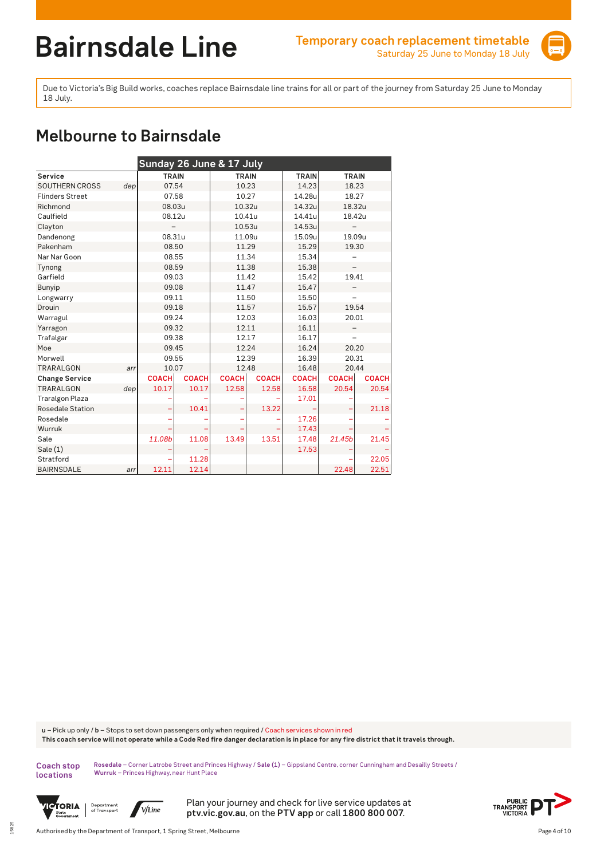

Due to Victoria's Big Build works, coaches replace Bairnsdale line trains for all or part of the journey from Saturday 25 June to Monday 18 July.

## **Melbourne to Bairnsdale**

| Sunday 26 June & 17 July |     |              |              |              |              |              |              |              |  |  |  |
|--------------------------|-----|--------------|--------------|--------------|--------------|--------------|--------------|--------------|--|--|--|
| Service                  |     | <b>TRAIN</b> |              | <b>TRAIN</b> |              | <b>TRAIN</b> | <b>TRAIN</b> |              |  |  |  |
| <b>SOUTHERN CROSS</b>    | dep | 07.54        |              | 10.23        |              | 14.23        | 18.23        |              |  |  |  |
| <b>Flinders Street</b>   |     | 07.58        |              | 10.27        |              | 14.28u       | 18.27        |              |  |  |  |
| Richmond                 |     | 08.03u       |              | 10.32u       |              | 14.32u       | 18.32u       |              |  |  |  |
| Caulfield                |     | 08.12u       |              | 10.41u       |              | 14.41u       | 18.42u       |              |  |  |  |
| Clayton                  |     |              |              | 10.53u       |              | 14.53u       |              |              |  |  |  |
| Dandenong                |     | 08.31u       |              | 11.09u       |              | 15.09u       | 19.09u       |              |  |  |  |
| Pakenham                 |     | 08.50        |              | 11.29        |              | 15.29        | 19.30        |              |  |  |  |
| Nar Nar Goon             |     | 08.55        |              | 11.34        |              | 15.34        |              |              |  |  |  |
| Tynong                   |     | 08.59        |              | 11.38        |              | 15.38        |              |              |  |  |  |
| Garfield                 |     | 09.03        |              | 11.42        |              | 15.42        | 19.41        |              |  |  |  |
| Bunyip                   |     | 09.08        |              | 11.47        |              | 15.47        |              |              |  |  |  |
| Longwarry                |     | 09.11        |              | 11.50        |              | 15.50        |              |              |  |  |  |
| Drouin                   |     | 09.18        |              | 11.57        |              | 15.57        | 19.54        |              |  |  |  |
| Warragul                 |     | 09.24        |              | 12.03        |              | 16.03        | 20.01        |              |  |  |  |
| Yarragon                 |     | 09.32        |              | 12.11        |              | 16.11        |              |              |  |  |  |
| Trafalgar                |     | 09.38        |              | 12.17        |              | 16.17        |              |              |  |  |  |
| Moe                      |     | 09.45        |              | 12.24        |              | 16.24        |              | 20.20        |  |  |  |
| Morwell                  |     | 09.55        |              | 12.39        |              | 16.39        | 20.31        |              |  |  |  |
| <b>TRARALGON</b>         | arr | 10.07        |              | 12.48        |              | 16.48        | 20.44        |              |  |  |  |
| <b>Change Service</b>    |     | <b>COACH</b> | <b>COACH</b> | <b>COACH</b> | <b>COACH</b> | <b>COACH</b> | <b>COACH</b> | <b>COACH</b> |  |  |  |
| <b>TRARALGON</b>         | dep | 10.17        | 10.17        | 12.58        | 12.58        | 16.58        | 20.54        | 20.54        |  |  |  |
| <b>Traralgon Plaza</b>   |     |              |              |              |              | 17.01        |              |              |  |  |  |
| Rosedale Station         |     |              | 10.41        |              | 13.22        |              |              | 21.18        |  |  |  |
| Rosedale                 |     |              |              |              |              | 17.26        |              |              |  |  |  |
| Wurruk                   |     |              |              |              |              | 17.43        |              |              |  |  |  |
| Sale                     |     | 11.08b       | 11.08        | 13.49        | 13.51        | 17.48        | 21.45b       | 21.45        |  |  |  |
| Sale(1)                  |     |              |              |              |              | 17.53        |              |              |  |  |  |
| Stratford                |     |              | 11.28        |              |              |              |              | 22.05        |  |  |  |
| <b>BAIRNSDALE</b>        | arr | 12.11        | 12.14        |              |              |              | 22.48        | 22.51        |  |  |  |

**u** – Pick up only / **b** – Stops to set down passengers only when required / Coach services shown in red **This coach service will not operate while a Code Red fire danger declaration is in place for any fire district that it travels through.**

**Coach stop locations** 

15825

**Rosedale** – Corner Latrobe Street and Princes Highway / **Sale (1)** – Gippsland Centre, corner Cunningham and Desailly Streets / **Wurruk** – Princes Highway, near Hunt Place



Department<br>of Transport V/Line

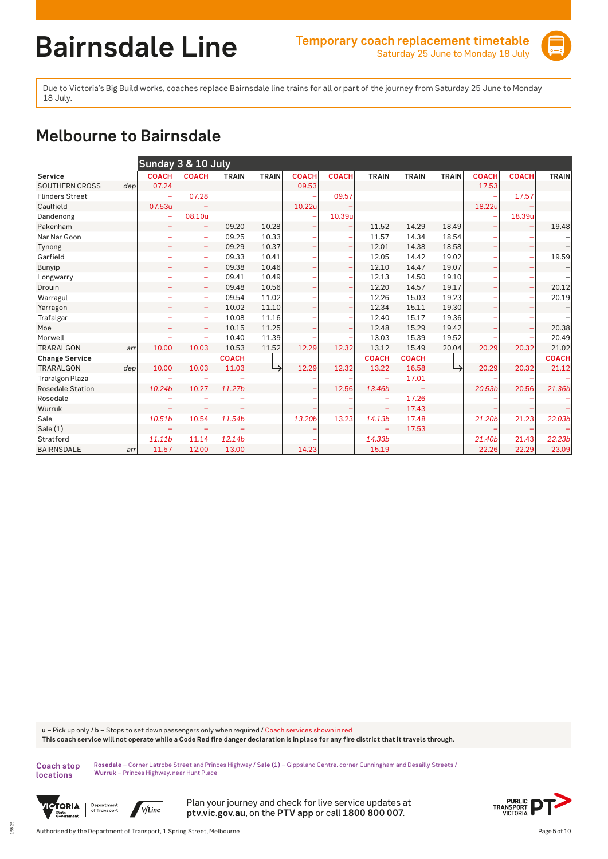

Due to Victoria's Big Build works, coaches replace Bairnsdale line trains for all or part of the journey from Saturday 25 June to Monday 18 July.

# **Melbourne to Bairnsdale**

|                         |     | Sunday 3 & 10 July |              |              |              |              |              |              |              |              |                    |              |              |
|-------------------------|-----|--------------------|--------------|--------------|--------------|--------------|--------------|--------------|--------------|--------------|--------------------|--------------|--------------|
| Service                 |     | <b>COACH</b>       | <b>COACH</b> | <b>TRAIN</b> | <b>TRAIN</b> | <b>COACH</b> | <b>COACH</b> | <b>TRAIN</b> | <b>TRAIN</b> | <b>TRAIN</b> | <b>COACH</b>       | <b>COACH</b> | <b>TRAIN</b> |
| SOUTHERN CROSS          | dep | 07.24              |              |              |              | 09.53        |              |              |              |              | 17.53              |              |              |
| <b>Flinders Street</b>  |     |                    | 07.28        |              |              |              | 09.57        |              |              |              |                    | 17.57        |              |
| Caulfield               |     | 07.53u             |              |              |              | 10.22u       |              |              |              |              | 18.22u             |              |              |
| Dandenong               |     |                    | 08.10u       |              |              |              | 10.39u       |              |              |              |                    | 18.39u       |              |
| Pakenham                |     | ۰                  |              | 09.20        | 10.28        |              |              | 11.52        | 14.29        | 18.49        |                    |              | 19.48        |
| Nar Nar Goon            |     |                    |              | 09.25        | 10.33        |              |              | 11.57        | 14.34        | 18.54        |                    |              |              |
| Tynong                  |     | ۰                  | ۰            | 09.29        | 10.37        |              |              | 12.01        | 14.38        | 18.58        | ۰                  |              |              |
| Garfield                |     |                    |              | 09.33        | 10.41        |              |              | 12.05        | 14.42        | 19.02        |                    |              | 19.59        |
| Bunyip                  |     | ۰                  |              | 09.38        | 10.46        | ۰            |              | 12.10        | 14.47        | 19.07        | -                  |              |              |
| Longwarry               |     |                    |              | 09.41        | 10.49        |              |              | 12.13        | 14.50        | 19.10        |                    |              |              |
| Drouin                  |     | ۰                  | ٠            | 09.48        | 10.56        | -            |              | 12.20        | 14.57        | 19.17        | ÷                  | ۳            | 20.12        |
| Warragul                |     |                    |              | 09.54        | 11.02        |              |              | 12.26        | 15.03        | 19.23        |                    |              | 20.19        |
| Yarragon                |     | ۰                  |              | 10.02        | 11.10        |              |              | 12.34        | 15.11        | 19.30        | ۳                  |              |              |
| Trafalgar               |     |                    |              | 10.08        | 11.16        |              |              | 12.40        | 15.17        | 19.36        |                    |              |              |
| Moe                     |     | ۰                  |              | 10.15        | 11.25        |              |              | 12.48        | 15.29        | 19.42        |                    |              | 20.38        |
| Morwell                 |     |                    |              | 10.40        | 11.39        |              |              | 13.03        | 15.39        | 19.52        |                    |              | 20.49        |
| <b>TRARALGON</b>        | arr | 10.00              | 10.03        | 10.53        | 11.52        | 12.29        | 12.32        | 13.12        | 15.49        | 20.04        | 20.29              | 20.32        | 21.02        |
| <b>Change Service</b>   |     |                    |              | <b>COACH</b> |              |              |              | <b>COACH</b> | <b>COACH</b> |              |                    |              | <b>COACH</b> |
| <b>TRARALGON</b>        | dep | 10.00              | 10.03        | 11.03        |              | 12.29        | 12.32        | 13.22        | 16.58        | ↳            | 20.29              | 20.32        | 21.12        |
| <b>Traralgon Plaza</b>  |     |                    |              |              |              |              |              |              | 17.01        |              |                    |              |              |
| <b>Rosedale Station</b> |     | 10.24b             | 10.27        | 11.27b       |              |              | 12.56        | 13.46b       |              |              | 20.53 <sub>b</sub> | 20.56        | 21.36b       |
| Rosedale                |     |                    |              |              |              |              |              |              | 17.26        |              |                    |              |              |
| Wurruk                  |     |                    |              |              |              |              |              |              | 17.43        |              |                    |              |              |
| Sale                    |     | 10.51b             | 10.54        | 11.54b       |              | 13.20b       | 13.23        | 14.13b       | 17.48        |              | 21.20b             | 21.23        | 22.03b       |
| Sale(1)                 |     |                    |              |              |              |              |              |              | 17.53        |              |                    |              |              |
| Stratford               |     | 11.11b             | 11.14        | 12.14b       |              |              |              | 14.33b       |              |              | 21.40b             | 21.43        | 22.23b       |
| <b>BAIRNSDALE</b>       | arr | 11.57              | 12.00        | 13.00        |              | 14.23        |              | 15.19        |              |              | 22.26              | 22.29        | 23.09        |

**u** – Pick up only / **b** – Stops to set down passengers only when required / Coach services shown in red **This coach service will not operate while a Code Red fire danger declaration is in place for any fire district that it travels through.**

**Coach stop locations** 

15825

**Rosedale** – Corner Latrobe Street and Princes Highway / **Sale (1)** – Gippsland Centre, corner Cunningham and Desailly Streets / **Wurruk** – Princes Highway, near Hunt Place



Department<br>of Transport V/Line

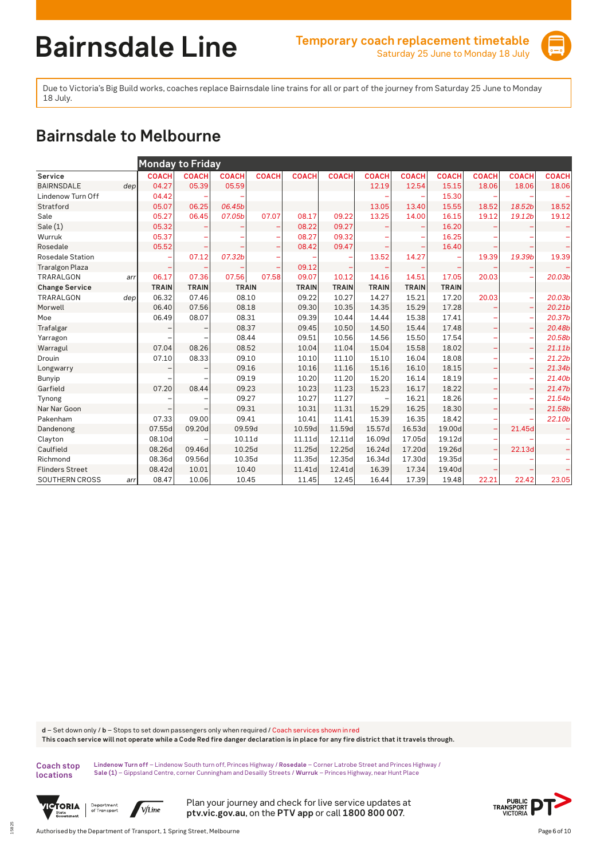

Due to Victoria's Big Build works, coaches replace Bairnsdale line trains for all or part of the journey from Saturday 25 June to Monday 18 July.

## **Bairnsdale to Melbourne**

|                         |     | <b>Monday to Friday</b> |              |              |              |              |              |              |              |              |              |              |              |
|-------------------------|-----|-------------------------|--------------|--------------|--------------|--------------|--------------|--------------|--------------|--------------|--------------|--------------|--------------|
| Service                 |     | <b>COACH</b>            | <b>COACH</b> | <b>COACH</b> | <b>COACH</b> | <b>COACH</b> | <b>COACH</b> | <b>COACH</b> | <b>COACH</b> | <b>COACH</b> | <b>COACH</b> | <b>COACH</b> | <b>COACH</b> |
| <b>BAIRNSDALE</b>       | dep | 04.27                   | 05.39        | 05.59        |              |              |              | 12.19        | 12.54        | 15.15        | 18.06        | 18.06        | 18.06        |
| Lindenow Turn Off       |     | 04.42                   |              |              |              |              |              |              |              | 15.30        |              |              |              |
| Stratford               |     | 05.07                   | 06.25        | 06.45b       |              |              |              | 13.05        | 13.40        | 15.55        | 18.52        | 18.52b       | 18.52        |
| Sale                    |     | 05.27                   | 06.45        | 07.05b       | 07.07        | 08.17        | 09.22        | 13.25        | 14.00        | 16.15        | 19.12        | 19.12b       | 19.12        |
| Sale(1)                 |     | 05.32                   |              |              |              | 08.22        | 09.27        |              |              | 16.20        |              |              |              |
| Wurruk                  |     | 05.37                   |              |              |              | 08.27        | 09.32        |              |              | 16.25        |              |              |              |
| Rosedale                |     | 05.52                   |              |              |              | 08.42        | 09.47        |              |              | 16.40        |              |              |              |
| <b>Rosedale Station</b> |     |                         | 07.12        | 07.32b       |              |              |              | 13.52        | 14.27        |              | 19.39        | 19.39b       | 19.39        |
| <b>Traralgon Plaza</b>  |     |                         |              |              |              | 09.12        |              |              |              |              |              |              |              |
| TRARALGON               | arr | 06.17                   | 07.36        | 07.56        | 07.58        | 09.07        | 10.12        | 14.16        | 14.51        | 17.05        | 20.03        |              | 20.03b       |
| <b>Change Service</b>   |     | <b>TRAIN</b>            | <b>TRAIN</b> | <b>TRAIN</b> |              | <b>TRAIN</b> | <b>TRAIN</b> | <b>TRAIN</b> | <b>TRAIN</b> | <b>TRAIN</b> |              |              |              |
| TRARALGON               | dep | 06.32                   | 07.46        | 08.10        |              | 09.22        | 10.27        | 14.27        | 15.21        | 17.20        | 20.03        |              | 20.03b       |
| Morwell                 |     | 06.40                   | 07.56        | 08.18        |              | 09.30        | 10.35        | 14.35        | 15.29        | 17.28        |              |              | 20.21b       |
| Moe                     |     | 06.49                   | 08.07        | 08.31        |              | 09.39        | 10.44        | 14.44        | 15.38        | 17.41        |              |              | 20.37b       |
| Trafalgar               |     |                         |              | 08.37        |              | 09.45        | 10.50        | 14.50        | 15.44        | 17.48        | ۳            | ۰            | 20.48b       |
| Yarragon                |     |                         |              | 08.44        |              | 09.51        | 10.56        | 14.56        | 15.50        | 17.54        |              |              | 20.58b       |
| Warragul                |     | 07.04                   | 08.26        | 08.52        |              | 10.04        | 11.04        | 15.04        | 15.58        | 18.02        |              |              | 21.11b       |
| Drouin                  |     | 07.10                   | 08.33        | 09.10        |              | 10.10        | 11.10        | 15.10        | 16.04        | 18.08        |              |              | 21.22b       |
| Longwarry               |     |                         |              | 09.16        |              | 10.16        | 11.16        | 15.16        | 16.10        | 18.15        | -            | -            | 21.34b       |
| Bunyip                  |     |                         |              | 09.19        |              | 10.20        | 11.20        | 15.20        | 16.14        | 18.19        |              |              | 21.40b       |
| Garfield                |     | 07.20                   | 08.44        | 09.23        |              | 10.23        | 11.23        | 15.23        | 16.17        | 18.22        |              |              | 21.47b       |
| Tynong                  |     |                         |              | 09.27        |              | 10.27        | 11.27        |              | 16.21        | 18.26        | -            |              | 21.54b       |
| Nar Nar Goon            |     |                         |              | 09.31        |              | 10.31        | 11.31        | 15.29        | 16.25        | 18.30        |              |              | 21.58b       |
| Pakenham                |     | 07.33                   | 09.00        | 09.41        |              | 10.41        | 11.41        | 15.39        | 16.35        | 18.42        |              |              | 22.10b       |
| Dandenong               |     | 07.55d                  | 09.20d       | 09.59d       |              | 10.59d       | 11.59d       | 15.57d       | 16.53d       | 19.00d       | -            | 21.45d       |              |
| Clayton                 |     | 08.10d                  |              | 10.11d       |              | 11.11d       | 12.11d       | 16.09d       | 17.05d       | 19.12d       | -            |              |              |
| Caulfield               |     | 08.26d                  | 09.46d       | 10.25d       |              | 11.25d       | 12.25d       | 16.24d       | 17.20d       | 19.26d       |              | 22.13d       |              |
| Richmond                |     | 08.36d                  | 09.56d       | 10.35d       |              | 11.35d       | 12.35d       | 16.34d       | 17.30d       | 19.35d       |              |              |              |
| <b>Flinders Street</b>  |     | 08.42d                  | 10.01        | 10.40        |              | 11.41d       | 12.41d       | 16.39        | 17.34        | 19.40d       |              |              |              |
| SOUTHERN CROSS          | arr | 08.47                   | 10.06        | 10.45        |              | 11.45        | 12.45        | 16.44        | 17.39        | 19.48        | 22.21        | 22.42        | 23.05        |

**d** – Set down only / **b** – Stops to set down passengers only when required / Coach services shown in red **This coach service will not operate while a Code Red fire danger declaration is in place for any fire district that it travels through.**

**Coach stop locations** 

15825

**Lindenow Turn off** – Lindenow South turn off, Princes Highway / **Rosedale** – Corner Latrobe Street and Princes Highway / **Sale (1)** – Gippsland Centre, corner Cunningham and Desailly Streets / **Wurruk** – Princes Highway, near Hunt Place



Department<br>of Transport V/Line

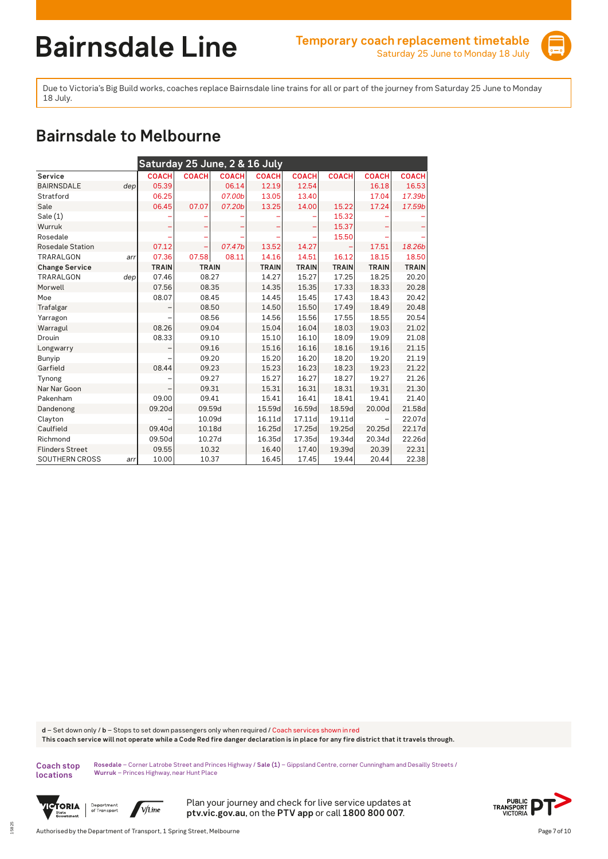

Due to Victoria's Big Build works, coaches replace Bairnsdale line trains for all or part of the journey from Saturday 25 June to Monday 18 July.

## **Bairnsdale to Melbourne**

| Saturday 25 June, 2 & 16 July |     |              |              |              |              |              |              |              |              |  |  |  |
|-------------------------------|-----|--------------|--------------|--------------|--------------|--------------|--------------|--------------|--------------|--|--|--|
| Service                       |     | <b>COACH</b> | <b>COACH</b> | <b>COACH</b> | <b>COACH</b> | <b>COACH</b> | <b>COACH</b> | <b>COACH</b> | <b>COACH</b> |  |  |  |
| <b>BAIRNSDALE</b>             | dep | 05.39        |              | 06.14        | 12.19        | 12.54        |              | 16.18        | 16.53        |  |  |  |
| Stratford                     |     | 06.25        |              | 07.00b       | 13.05        | 13.40        |              | 17.04        | 17.39b       |  |  |  |
| Sale                          |     | 06.45        | 07.07        | 07.20b       | 13.25        | 14.00        | 15.22        | 17.24        | 17.59b       |  |  |  |
| Sale(1)                       |     |              |              |              |              |              | 15.32        |              |              |  |  |  |
| Wurruk                        |     |              |              |              |              |              | 15.37        |              |              |  |  |  |
| Rosedale                      |     |              |              |              |              |              | 15.50        |              |              |  |  |  |
| <b>Rosedale Station</b>       |     | 07.12        |              | 07.47b       | 13.52        | 14.27        |              | 17.51        | 18.26b       |  |  |  |
| TRARALGON                     | arr | 07.36        | 07.58        | 08.11        | 14.16        | 14.51        | 16.12        | 18.15        | 18.50        |  |  |  |
| <b>Change Service</b>         |     | <b>TRAIN</b> | <b>TRAIN</b> |              | <b>TRAIN</b> | <b>TRAIN</b> | <b>TRAIN</b> | <b>TRAIN</b> | <b>TRAIN</b> |  |  |  |
| <b>TRARALGON</b>              | dep | 07.46        | 08.27        |              | 14.27        | 15.27        | 17.25        | 18.25        | 20.20        |  |  |  |
| Morwell                       |     | 07.56        | 08.35        |              | 14.35        | 15.35        | 17.33        | 18.33        | 20.28        |  |  |  |
| Moe                           |     | 08.07        | 08.45        |              | 14.45        | 15.45        | 17.43        | 18.43        | 20.42        |  |  |  |
| Trafalgar                     |     |              | 08.50        |              | 14.50        | 15.50        | 17.49        | 18.49        | 20.48        |  |  |  |
| Yarragon                      |     |              | 08.56        |              | 14.56        | 15.56        | 17.55        | 18.55        | 20.54        |  |  |  |
| Warragul                      |     | 08.26        | 09.04        |              | 15.04        | 16.04        | 18.03        | 19.03        | 21.02        |  |  |  |
| Drouin                        |     | 08.33        | 09.10        |              | 15.10        | 16.10        | 18.09        | 19.09        | 21.08        |  |  |  |
| Longwarry                     |     |              | 09.16        |              | 15.16        | 16.16        | 18.16        | 19.16        | 21.15        |  |  |  |
| Bunyip                        |     |              | 09.20        |              | 15.20        | 16.20        | 18.20        | 19.20        | 21.19        |  |  |  |
| Garfield                      |     | 08.44        | 09.23        |              | 15.23        | 16.23        | 18.23        | 19.23        | 21.22        |  |  |  |
| Tynong                        |     |              | 09.27        |              | 15.27        | 16.27        | 18.27        | 19.27        | 21.26        |  |  |  |
| Nar Nar Goon                  |     |              | 09.31        |              | 15.31        | 16.31        | 18.31        | 19.31        | 21.30        |  |  |  |
| Pakenham                      |     | 09.00        | 09.41        |              | 15.41        | 16.41        | 18.41        | 19.41        | 21.40        |  |  |  |
| Dandenong                     |     | 09.20d       | 09.59d       |              | 15.59d       | 16.59d       | 18.59d       | 20.00d       | 21.58d       |  |  |  |
| Clayton                       |     |              | 10.09d       |              | 16.11d       | 17.11d       | 19.11d       |              | 22.07d       |  |  |  |
| Caulfield                     |     | 09.40d       | 10.18d       |              | 16.25d       | 17.25d       | 19.25d       | 20.25d       | 22.17d       |  |  |  |
| Richmond                      |     | 09.50d       | 10.27d       |              | 16.35d       | 17.35d       | 19.34d       | 20.34d       | 22.26d       |  |  |  |
| <b>Flinders Street</b>        |     | 09.55        | 10.32        |              | 16.40        | 17.40        | 19.39d       | 20.39        | 22.31        |  |  |  |
| SOUTHERN CROSS                | arr | 10.00        | 10.37        |              | 16.45        | 17.45        | 19.44        | 20.44        | 22.38        |  |  |  |

**d** – Set down only / **b** – Stops to set down passengers only when required / Coach services shown in red **This coach service will not operate while a Code Red fire danger declaration is in place for any fire district that it travels through.**

**Coach stop locations** 

15825

**Rosedale** – Corner Latrobe Street and Princes Highway / **Sale (1)** – Gippsland Centre, corner Cunningham and Desailly Streets / **Wurruk** – Princes Highway, near Hunt Place



Department<br>of Transport V/Line

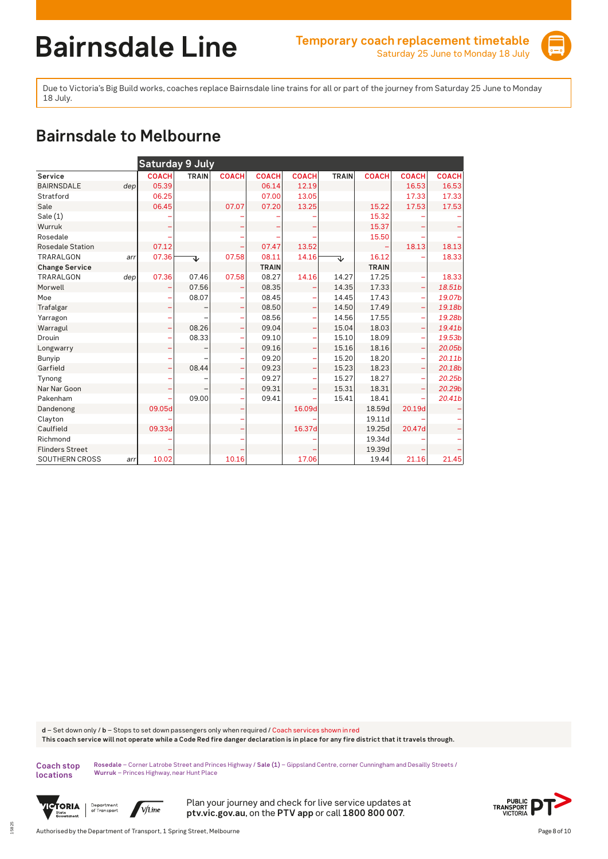

Due to Victoria's Big Build works, coaches replace Bairnsdale line trains for all or part of the journey from Saturday 25 June to Monday 18 July.

## **Bairnsdale to Melbourne**

|                         |     | <b>Saturday 9 July</b> |              |              |              |              |              |              |                          |                    |
|-------------------------|-----|------------------------|--------------|--------------|--------------|--------------|--------------|--------------|--------------------------|--------------------|
| Service                 |     | <b>COACH</b>           | <b>TRAIN</b> | <b>COACH</b> | <b>COACH</b> | <b>COACH</b> | <b>TRAIN</b> | <b>COACH</b> | <b>COACH</b>             | <b>COACH</b>       |
| <b>BAIRNSDALE</b>       | dep | 05.39                  |              |              | 06.14        | 12.19        |              |              | 16.53                    | 16.53              |
| Stratford               |     | 06.25                  |              |              | 07.00        | 13.05        |              |              | 17.33                    | 17.33              |
| Sale                    |     | 06.45                  |              | 07.07        | 07.20        | 13.25        |              | 15.22        | 17.53                    | 17.53              |
| Sale(1)                 |     |                        |              |              |              |              |              | 15.32        |                          |                    |
| Wurruk                  |     |                        |              |              |              |              |              | 15.37        |                          |                    |
| Rosedale                |     |                        |              |              |              |              |              | 15.50        |                          |                    |
| <b>Rosedale Station</b> |     | 07.12                  |              |              | 07.47        | 13.52        |              |              | 18.13                    | 18.13              |
| <b>TRARALGON</b>        | arr | 07.36                  | ↴            | 07.58        | 08.11        | 14.16        | ↴            | 16.12        |                          | 18.33              |
| <b>Change Service</b>   |     |                        |              |              | <b>TRAIN</b> |              |              | <b>TRAIN</b> |                          |                    |
| <b>TRARALGON</b>        | dep | 07.36                  | 07.46        | 07.58        | 08.27        | 14.16        | 14.27        | 17.25        |                          | 18.33              |
| Morwell                 |     |                        | 07.56        |              | 08.35        |              | 14.35        | 17.33        | $\overline{\phantom{0}}$ | 18.51b             |
| Moe                     |     |                        | 08.07        |              | 08.45        | ۰            | 14.45        | 17.43        | ۳                        | 19.07b             |
| Trafalgar               |     |                        |              |              | 08.50        | ÷            | 14.50        | 17.49        | $\overline{\phantom{0}}$ | 19.18b             |
| Yarragon                |     |                        |              |              | 08.56        | ۳            | 14.56        | 17.55        | ۳                        | 19.28b             |
| Warragul                |     |                        | 08.26        | ÷            | 09.04        | ÷            | 15.04        | 18.03        | ÷                        | 19.41b             |
| Drouin                  |     |                        | 08.33        |              | 09.10        | ۰            | 15.10        | 18.09        | ÷                        | 19.53b             |
| Longwarry               |     |                        |              | ۰            | 09.16        | ÷            | 15.16        | 18.16        | ÷                        | 20.05b             |
| Bunyip                  |     |                        |              |              | 09.20        | ۰            | 15.20        | 18.20        | ÷                        | 20.11 <sub>b</sub> |
| Garfield                |     |                        | 08.44        |              | 09.23        | ÷            | 15.23        | 18.23        | ÷                        | 20.18b             |
| Tynong                  |     |                        |              |              | 09.27        | ۰            | 15.27        | 18.27        | ۳                        | 20.25b             |
| Nar Nar Goon            |     |                        |              |              | 09.31        | ۳            | 15.31        | 18.31        | ۳                        | 20.29b             |
| Pakenham                |     |                        | 09.00        |              | 09.41        |              | 15.41        | 18.41        |                          | 20.41b             |
| Dandenong               |     | 09.05d                 |              |              |              | 16.09d       |              | 18.59d       | 20.19d                   |                    |
| Clayton                 |     |                        |              |              |              |              |              | 19.11d       |                          |                    |
| Caulfield               |     | 09.33d                 |              |              |              | 16.37d       |              | 19.25d       | 20.47d                   |                    |
| Richmond                |     |                        |              |              |              |              |              | 19.34d       |                          |                    |
| <b>Flinders Street</b>  |     |                        |              |              |              |              |              | 19.39d       |                          |                    |
| SOUTHERN CROSS          | arr | 10.02                  |              | 10.16        |              | 17.06        |              | 19.44        | 21.16                    | 21.45              |

**d** – Set down only / **b** – Stops to set down passengers only when required / Coach services shown in red **This coach service will not operate while a Code Red fire danger declaration is in place for any fire district that it travels through.**

**Coach stop locations** 

15825

**Rosedale** – Corner Latrobe Street and Princes Highway / **Sale (1)** – Gippsland Centre, corner Cunningham and Desailly Streets / **Wurruk** – Princes Highway, near Hunt Place



Department<br>of Transport V/Line

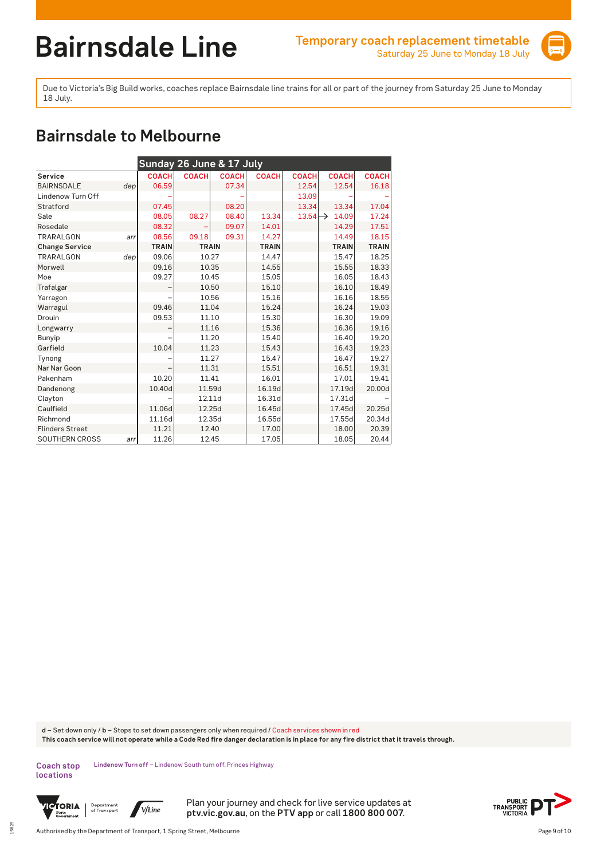

Due to Victoria's Big Build works, coaches replace Bairnsdale line trains for all or part of the journey from Saturday 25 June to Monday 18 July.

## **Bairnsdale to Melbourne**

| Sunday 26 June & 17 July |     |              |              |              |              |                     |              |              |  |  |  |
|--------------------------|-----|--------------|--------------|--------------|--------------|---------------------|--------------|--------------|--|--|--|
| Service                  |     | <b>COACH</b> | <b>COACH</b> | <b>COACH</b> | <b>COACH</b> | <b>COACH</b>        | <b>COACH</b> | <b>COACH</b> |  |  |  |
| <b>BAIRNSDALE</b>        | dep | 06.59        |              | 07.34        |              | 12.54               | 12.54        | 16.18        |  |  |  |
| Lindenow Turn Off        |     |              |              |              |              | 13.09               |              |              |  |  |  |
| Stratford                |     | 07.45        |              | 08.20        |              | 13.34               | 13.34        | 17.04        |  |  |  |
| Sale                     |     | 08.05        | 08.27        | 08.40        | 13.34        | $13.54 \rightarrow$ | 14.09        | 17.24        |  |  |  |
| Rosedale                 |     | 08.32        |              | 09.07        | 14.01        |                     | 14.29        | 17.51        |  |  |  |
| <b>TRARALGON</b>         | arr | 08.56        | 09.18        | 09.31        | 14.27        |                     | 14.49        | 18.15        |  |  |  |
| <b>Change Service</b>    |     | <b>TRAIN</b> | <b>TRAIN</b> |              | <b>TRAIN</b> |                     | <b>TRAIN</b> | <b>TRAIN</b> |  |  |  |
| TRARALGON                | dep | 09.06        | 10.27        |              | 14.47        |                     | 15.47        | 18.25        |  |  |  |
| Morwell                  |     | 09.16        | 10.35        |              | 14.55        |                     | 15.55        | 18.33        |  |  |  |
| Moe                      |     | 09.27        | 10.45        |              | 15.05        |                     | 16.05        | 18.43        |  |  |  |
| Trafalgar                |     |              | 10.50        |              | 15.10        |                     | 16.10        | 18.49        |  |  |  |
| Yarragon                 |     |              | 10.56        |              | 15.16        |                     | 16.16        | 18.55        |  |  |  |
| Warragul                 |     | 09.46        | 11.04        |              | 15.24        |                     | 16.24        | 19.03        |  |  |  |
| Drouin                   |     | 09.53        | 11.10        |              | 15.30        |                     | 16.30        | 19.09        |  |  |  |
| Longwarry                |     |              | 11.16        |              | 15.36        |                     | 16.36        | 19.16        |  |  |  |
| Bunyip                   |     |              | 11.20        |              | 15.40        |                     | 16.40        | 19.20        |  |  |  |
| Garfield                 |     | 10.04        | 11.23        |              | 15.43        |                     | 16.43        | 19.23        |  |  |  |
| Tynong                   |     |              | 11.27        |              | 15.47        |                     | 16.47        | 19.27        |  |  |  |
| Nar Nar Goon             |     |              | 11.31        |              | 15.51        |                     | 16.51        | 19.31        |  |  |  |
| Pakenham                 |     | 10.20        | 11.41        |              | 16.01        |                     | 17.01        | 19.41        |  |  |  |
| Dandenong                |     | 10.40d       | 11.59d       |              | 16.19d       |                     | 17.19d       | 20.00d       |  |  |  |
| Clayton                  |     |              | 12.11d       |              | 16.31d       |                     | 17.31d       |              |  |  |  |
| Caulfield                |     | 11.06d       | 12.25d       |              | 16.45d       |                     | 17.45d       | 20.25d       |  |  |  |
| Richmond                 |     | 11.16d       | 12.35d       |              | 16.55d       |                     | 17.55d       | 20.34d       |  |  |  |
| <b>Flinders Street</b>   |     | 11.21        | 12.40        |              | 17.00        |                     | 18.00        | 20.39        |  |  |  |
| <b>SOUTHERN CROSS</b>    | arr | 11.26        | 12.45        |              | 17.05        |                     | 18.05        | 20.44        |  |  |  |

**d** – Set down only / **b** – Stops to set down passengers only when required / Coach services shown in red **This coach service will not operate while a Code Red fire danger declaration is in place for any fire district that it travels through.**

Coach stop Lindenow Turn off - Lindenow South turn off, Princes Highway **locations** 



15825

Department<br>of Transport  $\sqrt{V/L}$ ine